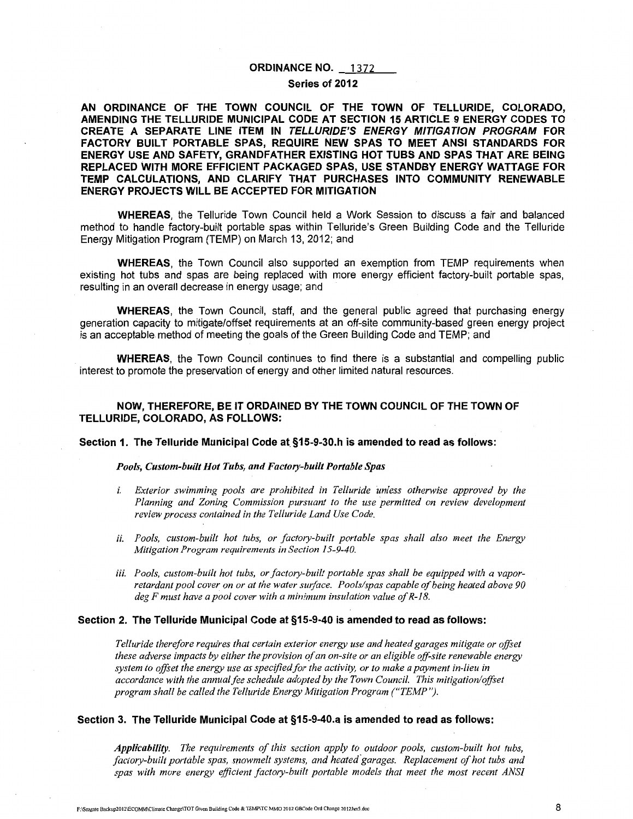### **ORDINANCE NO. 1372**

### **Series of 2012**

**AN ORDINANCE OF THE TOWN COUNCIL OF THE TOWN OF TELLURIDE, COLORADO, AMENDING THE TELLURIDE MUNICIPAL CODE AT SECTION 15 ARTICLE 9 ENERGY CODES TO CREATE A SEPARATE LINE ITEM IN TELLURIDE'S ENERGY MITIGATION PROGRAM FOR**  FACTORY BUILT PORTABLE SPAS, REQUIRE NEW SPAS TO MEET ANSI STANDARDS FOR **ENERGY USE AND SAFETY, GRANDFATHER EXISTING HOT TUBS AND SPAS THAT ARE BEING REPLACED WITH MORE EFFICIENT PACKAGED SPAS, USE STANDBY ENERGY WATTAGE FOR TEMP CALCULATIONS, AND CLARIFY THAT PURCHASES INTO COMMUNITY RENEWABLE ENERGY PROJECTS WILL BE ACCEPTED FOR MITIGATION** 

**WHEREAS,** the Telluride Town Council held a Work Session to discuss a fair and balanced method to handle factory-built portable spas within Telluride's Green Building Code and the Telluride Energy Mitigation Program (TEMP) on March 13, 2012; and

**WHEREAS,** the Town Council also supported an exemption from TEMP requirements when existing hot tubs and spas are being replaced with more energy efficient factory-built portable spas, resulting in an overall decrease in energy usage; and

**WHEREAS,** the Town Council, staff, and the general public agreed that purchasing energy generation capacity to mitigate/offset requirements at an off-site community-based green energy project is an acceptable method of meeting the goals of the Green Building Code and TEMP; and

**WHEREAS,** the Town Council continues to find there is a substantial and compelling public interest to promote the preservation of energy and other limited natural resources.

## **NOW, THEREFORE, BE IT ORDAINED BY THE TOWN COUNCIL OF THE TOWN OF TELLURIDE, COLORADO, AS FOLLOWS:**

#### **Section 1. The Telluride Municipal Code at. §15-9-30.h is amended to read as follows:**

### *Pools, Custom-built Hot Tubs, and Factory-built Portable Spas*

- *i. Exterior swimming pools are prohibited in Telluride unless otherwise approved by the Planning and Zoning Commission pursuant to the use permitted on review development review process contained in the Telluride Land Use Code.*
- *ii. Pools, custom-built hot tubs, or factory-built portable spas shall also meet the Energy Mitigation Program requirements in Section 15-9-40.*
- *iii. Pools, custom-built hot tubs, or factory-built portable spas shall be equipped with a vaporretardant pool cover on or at the water surface. Pools/spas capable of being heated above 90 deg F must have a pool cover with a minimum insulation value of R-18.*

### **Section 2. The Telluride Municipal Code at §15-9-40 is amended to read as follows:**

*Telluride therefore requires that certain exterior energy use and heated garages mitigate or offset these adverse impacts by either the provision of an on-site or an eligible off-site renewable energy system to offset the energy use as specified for the activity, or to make a payment in-lieu in accordance with the annual fee schedule adopted by the Town Council. This mitigation/offset program shall be called the Telluride Energy Mitigation Program ("TEMP").* 

# **Section 3. The Telluride Municipal Code at §15-9-40.a is amended to read as follows:**

*Applicability. The requirements of this section apply to outdoor pools, custom-built hot tubs, factory-built portable spas, snowmelt systems, and heated-garages. Replacement of hot tubs and spas with more energy efficient factory-built portable models that meet the most recent ANSI*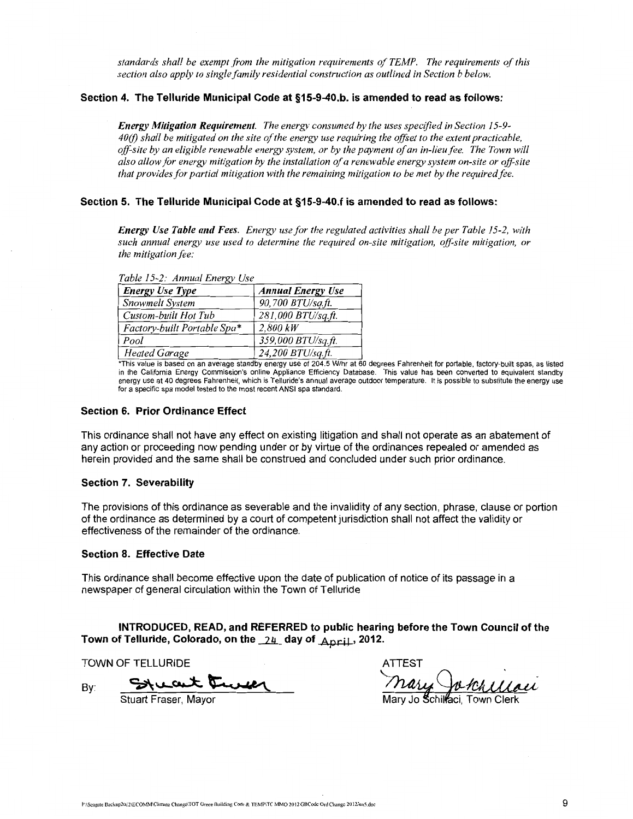*standards shall be exempt from the mitigation requirements of TEMP. The requirements of this section also apply to single family residential construction as outlined in Section b below.* 

## **Section 4. The Telluride Municipal Code at §15-9-40.b. is amended to read as follows:**

*Energy Mitigation Requirement. The energy consumed by the uses specified in Section 15-9- 40(/) shall be mitigated on the site of the energy use requiring the offset to the extent practicable, off-site by an eligible renewable energy system, or by the payment of an in-lieu fee. The Town will also allow for energy mitigation by the installation of a renewable energy system on-site or off-site that provides for partial mitigation with the remaining mitigation to be met by the required fee.* 

## **Section 5. The Telluride Municipal Code at §15-9-40.f is amended to read as follows:**

*Energy Use Table and Fees. Energy use for the regulated activities shall be per Table 15-2, with such annual energy use used to determine the required on-site mitigation, off-site mitigation, or the mitigation fee:* 

| raciones in the case of $\mathcal{L}$ |                                                                                  |  |  |
|---------------------------------------|----------------------------------------------------------------------------------|--|--|
| <b>Energy Use Type</b>                | <b>Annual Energy Use</b>                                                         |  |  |
| Snowmelt System                       | 90,700 BTU/sq.ft.                                                                |  |  |
| Custom-built Hot Tub                  | 281,000 BTU/sq.ft.                                                               |  |  |
| Factory-built Portable Spa*           | 2,800 kW                                                                         |  |  |
| Pool                                  | 359,000 BTU/sq.ft.                                                               |  |  |
| <b>Heated Garage</b>                  | 24,200 BTU/sq.ft.                                                                |  |  |
| (天地 ちょうしゅしょう ちょうしょう オーム               | $-$ discussed to $\mathbf{A}$ and $\mathbf{A}$ and $\mathbf{A}$ and $\mathbf{A}$ |  |  |

*Table 15-2: Annual Energy Use* 

\*ThiS value IS based on an average standby energy use of 204.5 W/hr at 60 degrees Fahrenheit for portable, factory-built spas, as listed in the California Energy Commission's online Appliance Efficiency Database. This value has been converted to equivalent standby energy use at 40 degrees Fahrenheit, which is Telluride's annual average outdoor temperature. It is possible to substitute the energy use for a specific spa model tested to the most recent ANSI spa standard.

### **Section 6. Prior Ordinance Effect**

This ordinance shall not have any effect on existing litigation and shall not operate as an abatement of any action or proceeding now pending under or by virtue of the ordinances repealed or amended as herein provided and the same shall be construed and concluded under such prior ordinance.

#### **Section 7. Severability**

The provisions of this ordinance as severable and the invalidity of any section, phrase, clause or portion of the ordinance as determined by a court of competent jurisdiction shall not affect the validity or effectiveness of the remainder of the ordinance.

### **Section 8. Effective Date**

This ordinance shall become effective upon the date of publication of notice of its passage in a newspaper of general circulation within the Town of Telluride

**INTRODUCED, READ, and REFERRED to public hearing before the Town Council of the Town of Telluride, Colorado, on the \_\_2!L day of** April , **2012.** 

TOWN OF TELLURIDE ATTEST AT THE ATTEST AND THE ATTEST AT THE ATTEST AT THE ATTEST AT THE ATTEST AT THE ATTEST AT THE ATTEST AT THE ATTEST AT THE ATTEST AT THE ATTEST AT THE ATTEST AT THE ATTEST AT THE ATTEST AT A THE ATTES

By:

 $27-$ 

Stuart Fraser, Mayor

do, on the 24 day of April, 2012.<br>ATTEST<br>Cruce Mary Jotallau .

Mary Jo Schillaci, Town Clerk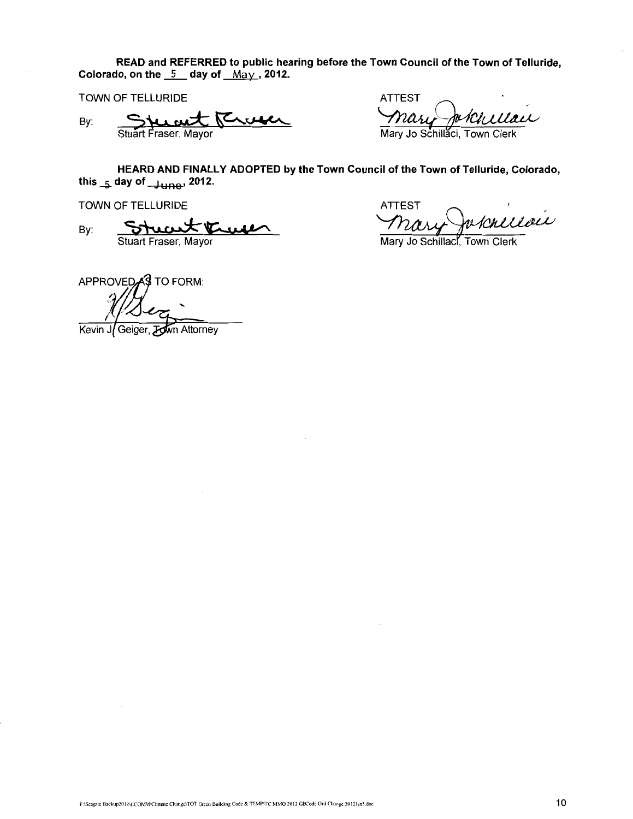**READ and REFERRED to public hearing before the Town Council of the Town of Telluride,**  Colorado, on the  $\frac{5}{2}$  day of  $\frac{M_{\text{d}}}{M_{\text{d}}}$ , 2012.

TOWN OF TELLURIDE

By:

Kevin

Stuart  $S$  the Fraser, <u>wt</u>

 $\frac{1}{\text{Mayor}}$  AllESI<br>Mayor May Jo Schille ATTEST<br>mary Jokullau Mary Jo Schillaci

**HEARD AND FINALLY ADOPTED by the Town Council of the Town of Telluride, Colorado, this ....s. day of** June• **2012.**  Stuart Fraser, Mayor<br>
Stuart Fraser, Mayor<br>
HEARD AND FINALLY ADOPTED by the Town Council of the Town of Telluride, Colorado,<br>
May Jo Schillaci, Town Clerk<br>
Stuart Fraser, Mayor<br>
Colorado, Mayor<br>
Colorado, Mayor<br>
Colorado,

TOWN OF TELLURIDE

By: Stuart Fraser, Mayor

Geiger, Town Attorney

**ATTEST** Mary Jo Schillact, Town Clerk

APPROVED<sub>43</sub> TO FORM: